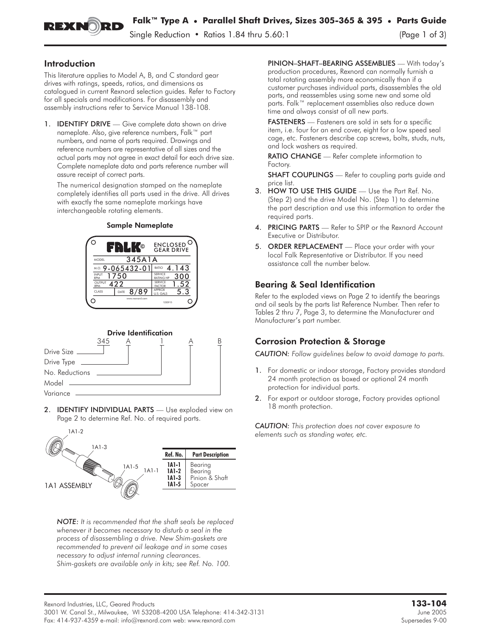

### Introduction

This literature applies to Model A, B, and C standard gear drives with ratings, speeds, ratios, and dimensions as catalogued in current Rexnord selection guides. Refer to Factory for all specials and modifications. For disassembly and assembly instructions refer to Service Manual 138-108.

1. **IDENTIFY DRIVE** — Give complete data shown on drive nameplate. Also, give reference numbers, Falk™ part numbers, and name of parts required. Drawings and reference numbers are representative of all sizes and the actual parts may not agree in exact detail for each drive size. Complete nameplate data and parts reference number will assure receipt of correct parts.

The numerical designation stamped on the nameplate completely identifies all parts used in the drive. All drives with exactly the same nameplate markings have interchangeable rotating elements.

#### Sample Nameplate





2. **IDENTIFY INDIVIDUAL PARTS** - Use exploded view on Page 2 to determine Ref. No. of required parts.



*NOTE: It is recommended that the shaft seals be replaced whenever it becomes necessary to disturb a seal in the process of disassembling a drive. New Shim-gaskets are recommended to prevent oil leakage and in some cases necessary to adjust internal running clearances. Shim-gaskets are available only in kits; see Ref. No. 100.*

PINION–SHAFT–BEARING ASSEMBLIES — With today's production procedures, Rexnord can normally furnish a total rotating assembly more economically than if a customer purchases individual parts, disassembles the old parts, and reassembles using some new and some old parts. Falk™ replacement assemblies also reduce down time and always consist of all new parts.

FASTENERS - Fasteners are sold in sets for a specific item, i.e. four for an end cover, eight for a low speed seal cage, etc. Fasteners describe cap screws, bolts, studs, nuts, and lock washers as required.

RATIO CHANGE — Refer complete information to Factory.

**SHAFT COUPLINGS** — Refer to coupling parts guide and price list.

- 3. HOW TO USE THIS GUIDE Use the Part Ref. No. (Step 2) and the drive Model No. (Step 1) to determine the part description and use this information to order the required parts.
- 4. PRICING PARTS Refer to SPIP or the Rexnord Account Executive or Distributor.
- 5. ORDER REPLACEMENT Place your order with your local Falk Representative or Distributor. If you need assistance call the number below.

## Bearing & Seal Identification

Refer to the exploded views on Page 2 to identify the bearings and oil seals by the parts list Reference Number. Then refer to Tables 2 thru 7, Page 3, to determine the Manufacturer and Manufacturer's part number.

## Corrosion Protection & Storage

*CAUTION: Follow guidelines below to avoid damage to parts.*

- 1. For domestic or indoor storage, Factory provides standard 24 month protection as boxed or optional 24 month protection for individual parts.
- 2. For export or outdoor storage, Factory provides optional 18 month protection.

*CAUTION: This protection does not cover exposure to elements such as standing water, etc.*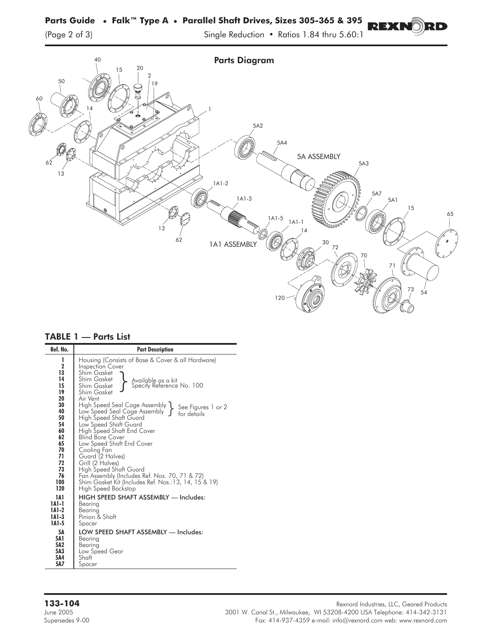(Page 2 of 3) Single Reduction • Ratios 1.84 thru 5.60:1

REXNO

RD



|  | <b>TABLE 1 - Parts List</b> |
|--|-----------------------------|
|--|-----------------------------|

**133-104** Rexnord Industries, LLC, Geared Products June 2005 3001 W. Canal St., Milwaukee, WI 53208-4200 USA Telephone: 414-342-3131 Fax: 414-937-4359 e-mail: info@rexnord.com web: www.rexnord.com